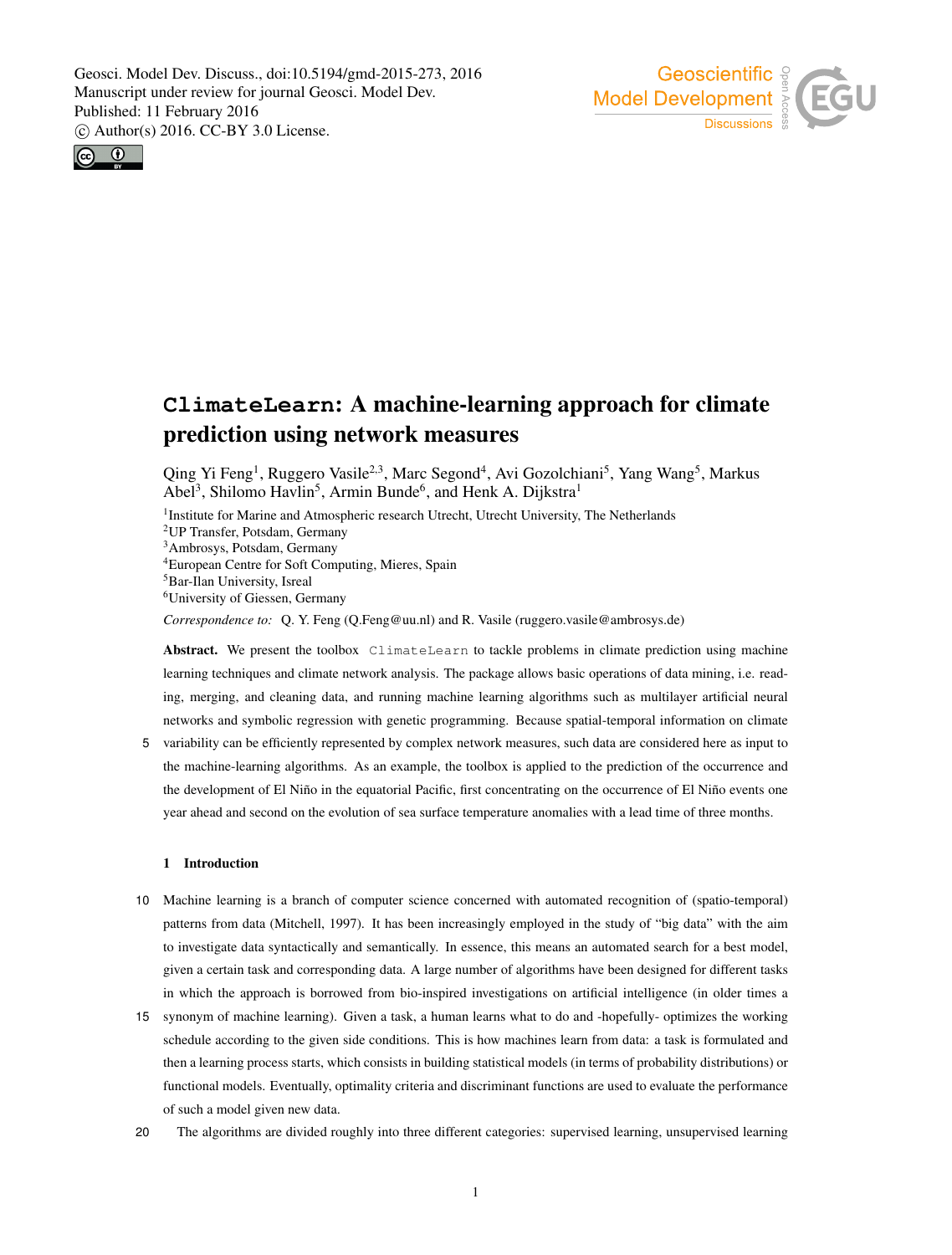



# **ClimateLearn**: A machine-learning approach for climate prediction using network measures

Qing Yi Feng<sup>1</sup>, Ruggero Vasile<sup>2,3</sup>, Marc Segond<sup>4</sup>, Avi Gozolchiani<sup>5</sup>, Yang Wang<sup>5</sup>, Markus Abel<sup>3</sup>, Shilomo Havlin<sup>5</sup>, Armin Bunde<sup>6</sup>, and Henk A. Dijkstra<sup>1</sup>

<sup>1</sup>Institute for Marine and Atmospheric research Utrecht, Utrecht University, The Netherlands

<sup>2</sup>UP Transfer, Potsdam, Germany

<sup>3</sup>Ambrosys, Potsdam, Germany

<sup>4</sup>European Centre for Soft Computing, Mieres, Spain

<sup>5</sup>Bar-Ilan University, Isreal

<sup>6</sup>University of Giessen, Germany

*Correspondence to:* Q. Y. Feng (Q.Feng@uu.nl) and R. Vasile (ruggero.vasile@ambrosys.de)

Abstract. We present the toolbox ClimateLearn to tackle problems in climate prediction using machine learning techniques and climate network analysis. The package allows basic operations of data mining, i.e. reading, merging, and cleaning data, and running machine learning algorithms such as multilayer artificial neural networks and symbolic regression with genetic programming. Because spatial-temporal information on climate

5 variability can be efficiently represented by complex network measures, such data are considered here as input to the machine-learning algorithms. As an example, the toolbox is applied to the prediction of the occurrence and the development of El Niño in the equatorial Pacific, first concentrating on the occurrence of El Niño events one year ahead and second on the evolution of sea surface temperature anomalies with a lead time of three months.

## 1 Introduction

- 10 Machine learning is a branch of computer science concerned with automated recognition of (spatio-temporal) patterns from data (Mitchell, 1997). It has been increasingly employed in the study of "big data" with the aim to investigate data syntactically and semantically. In essence, this means an automated search for a best model, given a certain task and corresponding data. A large number of algorithms have been designed for different tasks in which the approach is borrowed from bio-inspired investigations on artificial intelligence (in older times a
- 15 synonym of machine learning). Given a task, a human learns what to do and -hopefully- optimizes the working schedule according to the given side conditions. This is how machines learn from data: a task is formulated and then a learning process starts, which consists in building statistical models (in terms of probability distributions) or functional models. Eventually, optimality criteria and discriminant functions are used to evaluate the performance of such a model given new data.
- 20 The algorithms are divided roughly into three different categories: supervised learning, unsupervised learning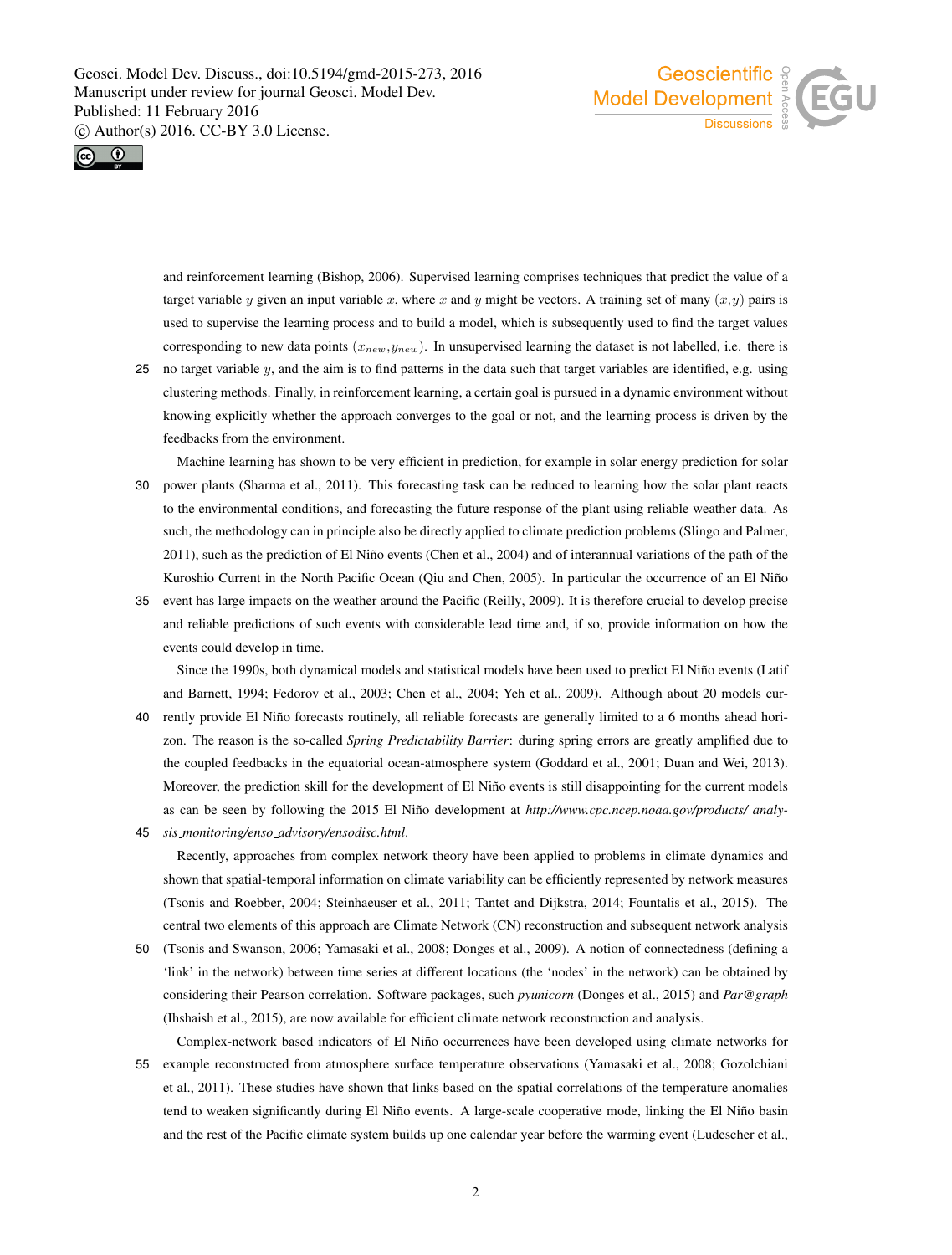



and reinforcement learning (Bishop, 2006). Supervised learning comprises techniques that predict the value of a target variable y given an input variable x, where x and y might be vectors. A training set of many  $(x, y)$  pairs is used to supervise the learning process and to build a model, which is subsequently used to find the target values corresponding to new data points  $(x_{new}, y_{new})$ . In unsupervised learning the dataset is not labelled, i.e. there is

- 25 no target variable  $y$ , and the aim is to find patterns in the data such that target variables are identified, e.g. using clustering methods. Finally, in reinforcement learning, a certain goal is pursued in a dynamic environment without knowing explicitly whether the approach converges to the goal or not, and the learning process is driven by the feedbacks from the environment.
- Machine learning has shown to be very efficient in prediction, for example in solar energy prediction for solar 30 power plants (Sharma et al., 2011). This forecasting task can be reduced to learning how the solar plant reacts to the environmental conditions, and forecasting the future response of the plant using reliable weather data. As such, the methodology can in principle also be directly applied to climate prediction problems (Slingo and Palmer, 2011), such as the prediction of El Niño events (Chen et al., 2004) and of interannual variations of the path of the Kuroshio Current in the North Pacific Ocean (Qiu and Chen, 2005). In particular the occurrence of an El Niño
- 35 event has large impacts on the weather around the Pacific (Reilly, 2009). It is therefore crucial to develop precise and reliable predictions of such events with considerable lead time and, if so, provide information on how the events could develop in time.

Since the 1990s, both dynamical models and statistical models have been used to predict El Niño events (Latif and Barnett, 1994; Fedorov et al., 2003; Chen et al., 2004; Yeh et al., 2009). Although about 20 models cur-40 rently provide El Niño forecasts routinely, all reliable forecasts are generally limited to a 6 months ahead horizon. The reason is the so-called *Spring Predictability Barrier*: during spring errors are greatly amplified due to the coupled feedbacks in the equatorial ocean-atmosphere system (Goddard et al., 2001; Duan and Wei, 2013). Moreover, the prediction skill for the development of El Niño events is still disappointing for the current models as can be seen by following the 2015 El Niño development at http://www.cpc.ncep.noaa.gov/products/ analy-

45 *sis monitoring/enso advisory/ensodisc.html*.

Recently, approaches from complex network theory have been applied to problems in climate dynamics and shown that spatial-temporal information on climate variability can be efficiently represented by network measures (Tsonis and Roebber, 2004; Steinhaeuser et al., 2011; Tantet and Dijkstra, 2014; Fountalis et al., 2015). The central two elements of this approach are Climate Network (CN) reconstruction and subsequent network analysis

- 50 (Tsonis and Swanson, 2006; Yamasaki et al., 2008; Donges et al., 2009). A notion of connectedness (defining a 'link' in the network) between time series at different locations (the 'nodes' in the network) can be obtained by considering their Pearson correlation. Software packages, such *pyunicorn* (Donges et al., 2015) and *Par@graph* (Ihshaish et al., 2015), are now available for efficient climate network reconstruction and analysis.
- Complex-network based indicators of El Niño occurrences have been developed using climate networks for 55 example reconstructed from atmosphere surface temperature observations (Yamasaki et al., 2008; Gozolchiani et al., 2011). These studies have shown that links based on the spatial correlations of the temperature anomalies tend to weaken significantly during El Niño events. A large-scale cooperative mode, linking the El Niño basin and the rest of the Pacific climate system builds up one calendar year before the warming event (Ludescher et al.,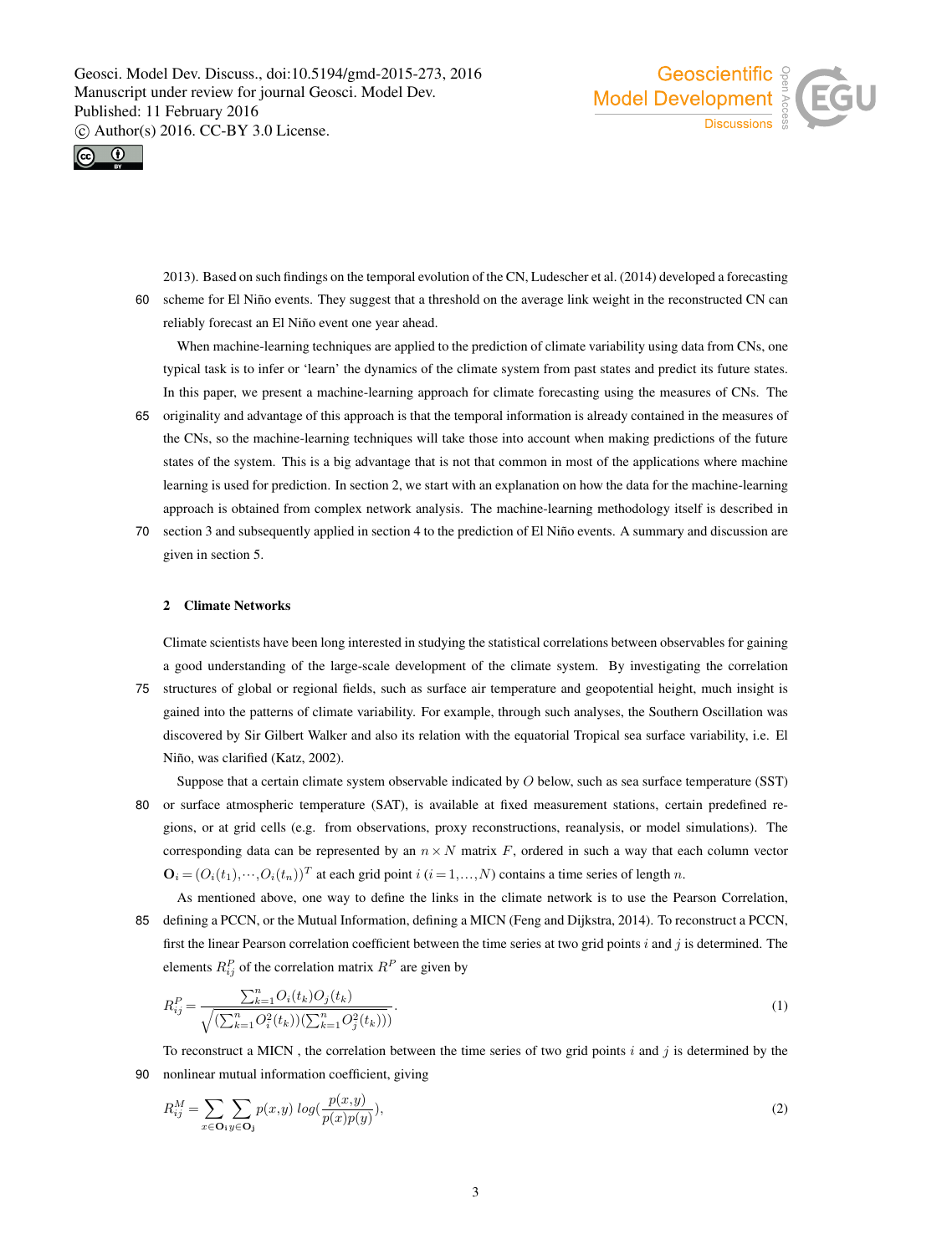



2013). Based on such findings on the temporal evolution of the CN, Ludescher et al. (2014) developed a forecasting 60 scheme for El Niño events. They suggest that a threshold on the average link weight in the reconstructed CN can reliably forecast an El Niño event one year ahead.

When machine-learning techniques are applied to the prediction of climate variability using data from CNs, one typical task is to infer or 'learn' the dynamics of the climate system from past states and predict its future states. In this paper, we present a machine-learning approach for climate forecasting using the measures of CNs. The

- 65 originality and advantage of this approach is that the temporal information is already contained in the measures of the CNs, so the machine-learning techniques will take those into account when making predictions of the future states of the system. This is a big advantage that is not that common in most of the applications where machine learning is used for prediction. In section 2, we start with an explanation on how the data for the machine-learning approach is obtained from complex network analysis. The machine-learning methodology itself is described in
- 70 section 3 and subsequently applied in section 4 to the prediction of El Niño events. A summary and discussion are given in section 5.

#### 2 Climate Networks

Climate scientists have been long interested in studying the statistical correlations between observables for gaining a good understanding of the large-scale development of the climate system. By investigating the correlation

- 75 structures of global or regional fields, such as surface air temperature and geopotential height, much insight is gained into the patterns of climate variability. For example, through such analyses, the Southern Oscillation was discovered by Sir Gilbert Walker and also its relation with the equatorial Tropical sea surface variability, i.e. El Niño, was clarified (Katz, 2002).
- Suppose that a certain climate system observable indicated by O below, such as sea surface temperature (SST) 80 or surface atmospheric temperature (SAT), is available at fixed measurement stations, certain predefined regions, or at grid cells (e.g. from observations, proxy reconstructions, reanalysis, or model simulations). The corresponding data can be represented by an  $n \times N$  matrix F, ordered in such a way that each column vector  $\mathbf{O}_i = (O_i(t_1), \dots, O_i(t_n))^T$  at each grid point  $i$   $(i = 1, \dots, N)$  contains a time series of length n.
- As mentioned above, one way to define the links in the climate network is to use the Pearson Correlation, 85 defining a PCCN, or the Mutual Information, defining a MICN (Feng and Dijkstra, 2014). To reconstruct a PCCN, first the linear Pearson correlation coefficient between the time series at two grid points  $i$  and  $j$  is determined. The elements  $R_{ij}^P$  of the correlation matrix  $R^P$  are given by

$$
R_{ij}^{P} = \frac{\sum_{k=1}^{n} O_i(t_k) O_j(t_k)}{\sqrt{(\sum_{k=1}^{n} O_i^2(t_k))(\sum_{k=1}^{n} O_j^2(t_k)))}}.
$$
\n(1)

To reconstruct a MICN, the correlation between the time series of two grid points  $i$  and  $j$  is determined by the 90 nonlinear mutual information coefficient, giving

$$
R_{ij}^M = \sum_{x \in \mathbf{O}_i} \sum_{y \in \mathbf{O}_j} p(x, y) \log(\frac{p(x, y)}{p(x)p(y)}),\tag{2}
$$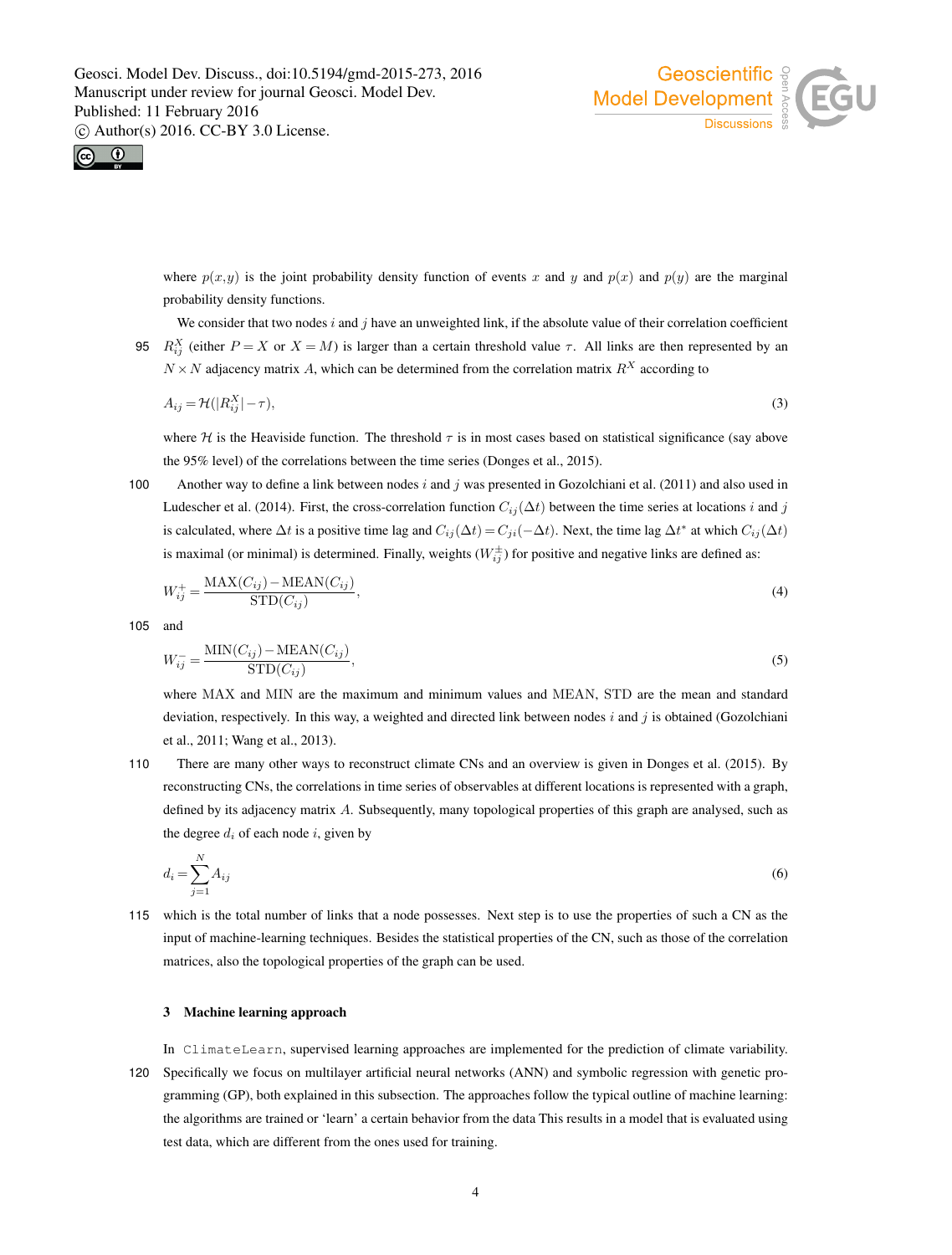



where  $p(x,y)$  is the joint probability density function of events x and y and  $p(x)$  and  $p(y)$  are the marginal probability density functions.

We consider that two nodes  $i$  and  $j$  have an unweighted link, if the absolute value of their correlation coefficient 95  $R_{ij}^X$  (either  $P = X$  or  $X = M$ ) is larger than a certain threshold value  $\tau$ . All links are then represented by an  $N \times N$  adjacency matrix A, which can be determined from the correlation matrix  $R^X$  according to

$$
A_{ij} = \mathcal{H}(|R_{ij}^X| - \tau),\tag{3}
$$

where H is the Heaviside function. The threshold  $\tau$  is in most cases based on statistical significance (say above the 95% level) of the correlations between the time series (Donges et al., 2015).

100 Another way to define a link between nodes  $i$  and  $j$  was presented in Gozolchiani et al. (2011) and also used in Ludescher et al. (2014). First, the cross-correlation function  $C_{ij}(\Delta t)$  between the time series at locations i and j is calculated, where  $\Delta t$  is a positive time lag and  $C_{ij}(\Delta t) = C_{ji}(-\Delta t)$ . Next, the time lag  $\Delta t^*$  at which  $C_{ij}(\Delta t)$ is maximal (or minimal) is determined. Finally, weights  $(W_{ij}^{\pm})$  for positive and negative links are defined as:

$$
W_{ij}^{+} = \frac{\text{MAX}(C_{ij}) - \text{MEAN}(C_{ij})}{\text{STD}(C_{ij})},\tag{4}
$$

105 and

$$
W_{ij}^- = \frac{\text{MIN}(C_{ij}) - \text{MEAN}(C_{ij})}{\text{STD}(C_{ij})},\tag{5}
$$

where MAX and MIN are the maximum and minimum values and MEAN, STD are the mean and standard deviation, respectively. In this way, a weighted and directed link between nodes  $i$  and  $j$  is obtained (Gozolchiani et al., 2011; Wang et al., 2013).

110 There are many other ways to reconstruct climate CNs and an overview is given in Donges et al. (2015). By reconstructing CNs, the correlations in time series of observables at different locations is represented with a graph, defined by its adjacency matrix A. Subsequently, many topological properties of this graph are analysed, such as the degree  $d_i$  of each node i, given by

$$
d_i = \sum_{j=1}^{N} A_{ij} \tag{6}
$$

115 which is the total number of links that a node possesses. Next step is to use the properties of such a CN as the input of machine-learning techniques. Besides the statistical properties of the CN, such as those of the correlation matrices, also the topological properties of the graph can be used.

## 3 Machine learning approach

In ClimateLearn, supervised learning approaches are implemented for the prediction of climate variability. 120 Specifically we focus on multilayer artificial neural networks (ANN) and symbolic regression with genetic programming (GP), both explained in this subsection. The approaches follow the typical outline of machine learning: the algorithms are trained or 'learn' a certain behavior from the data This results in a model that is evaluated using test data, which are different from the ones used for training.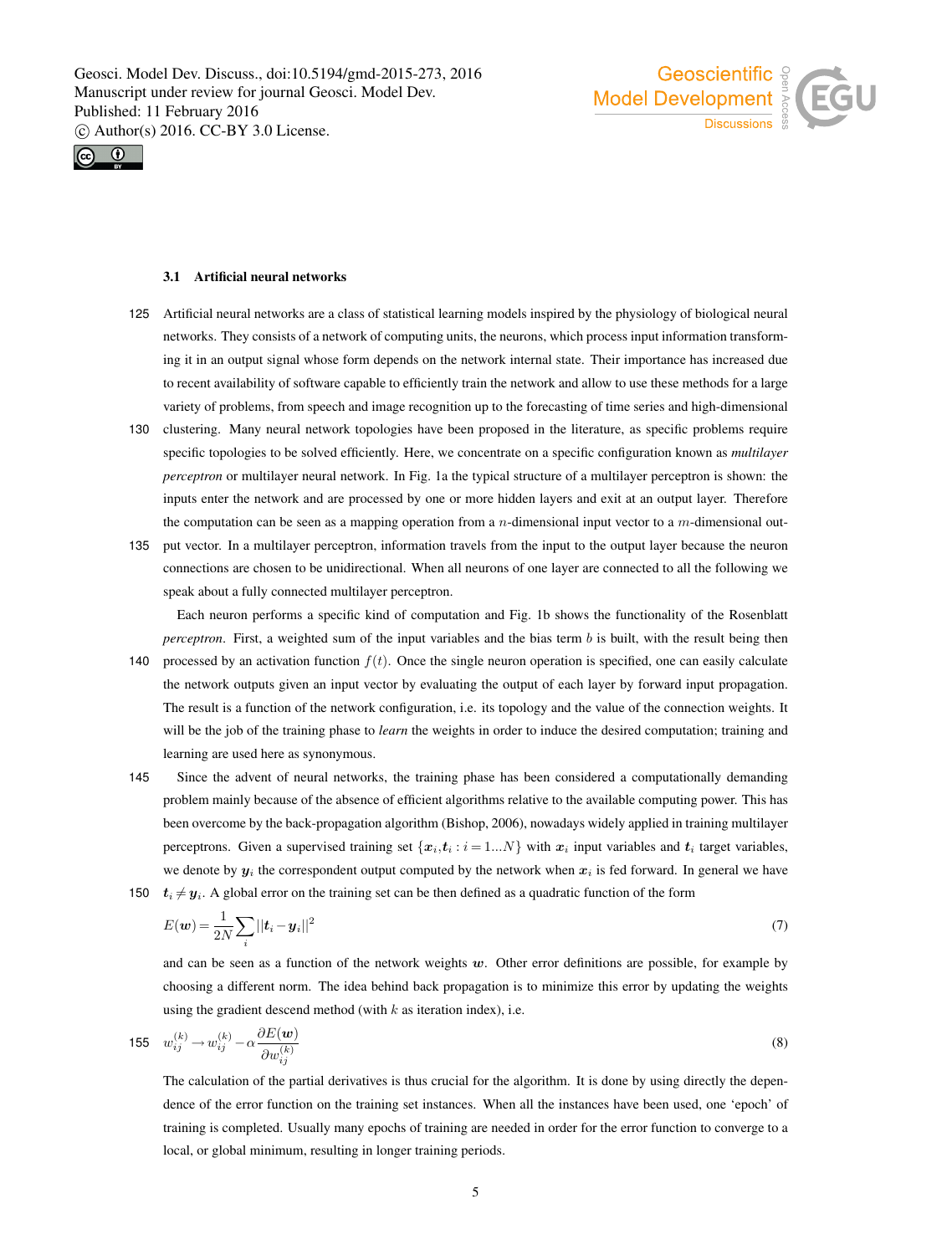



## 3.1 Artificial neural networks

learning are used here as synonymous.

- 125 Artificial neural networks are a class of statistical learning models inspired by the physiology of biological neural networks. They consists of a network of computing units, the neurons, which process input information transforming it in an output signal whose form depends on the network internal state. Their importance has increased due to recent availability of software capable to efficiently train the network and allow to use these methods for a large variety of problems, from speech and image recognition up to the forecasting of time series and high-dimensional
- 130 clustering. Many neural network topologies have been proposed in the literature, as specific problems require specific topologies to be solved efficiently. Here, we concentrate on a specific configuration known as *multilayer perceptron* or multilayer neural network. In Fig. 1a the typical structure of a multilayer perceptron is shown: the inputs enter the network and are processed by one or more hidden layers and exit at an output layer. Therefore the computation can be seen as a mapping operation from a *n*-dimensional input vector to a  $m$ -dimensional out-
- 135 put vector. In a multilayer perceptron, information travels from the input to the output layer because the neuron connections are chosen to be unidirectional. When all neurons of one layer are connected to all the following we speak about a fully connected multilayer perceptron.

Each neuron performs a specific kind of computation and Fig. 1b shows the functionality of the Rosenblatt *perceptron*. First, a weighted sum of the input variables and the bias term b is built, with the result being then 140 processed by an activation function  $f(t)$ . Once the single neuron operation is specified, one can easily calculate the network outputs given an input vector by evaluating the output of each layer by forward input propagation. The result is a function of the network configuration, i.e. its topology and the value of the connection weights. It will be the job of the training phase to *learn* the weights in order to induce the desired computation; training and

145 Since the advent of neural networks, the training phase has been considered a computationally demanding problem mainly because of the absence of efficient algorithms relative to the available computing power. This has been overcome by the back-propagation algorithm (Bishop, 2006), nowadays widely applied in training multilayer perceptrons. Given a supervised training set  $\{x_i, t_i : i = 1...N\}$  with  $x_i$  input variables and  $t_i$  target variables, we denote by  $y_i$  the correspondent output computed by the network when  $x_i$  is fed forward. In general we have 150  $t_i \neq y_i$ . A global error on the training set can be then defined as a quadratic function of the form

$$
E(\boldsymbol{w}) = \frac{1}{2N} \sum_{i} ||\boldsymbol{t}_i - \boldsymbol{y}_i||^2
$$
\n<sup>(7)</sup>

and can be seen as a function of the network weights  $w$ . Other error definitions are possible, for example by choosing a different norm. The idea behind back propagation is to minimize this error by updating the weights using the gradient descend method (with  $k$  as iteration index), i.e.

$$
155 \t w_{ij}^{(k)} \t v_{ij}^{(k)} - \alpha \frac{\partial E(\boldsymbol{w})}{\partial w_{ij}^{(k)}}
$$
\n
$$
(8)
$$

The calculation of the partial derivatives is thus crucial for the algorithm. It is done by using directly the dependence of the error function on the training set instances. When all the instances have been used, one 'epoch' of training is completed. Usually many epochs of training are needed in order for the error function to converge to a local, or global minimum, resulting in longer training periods.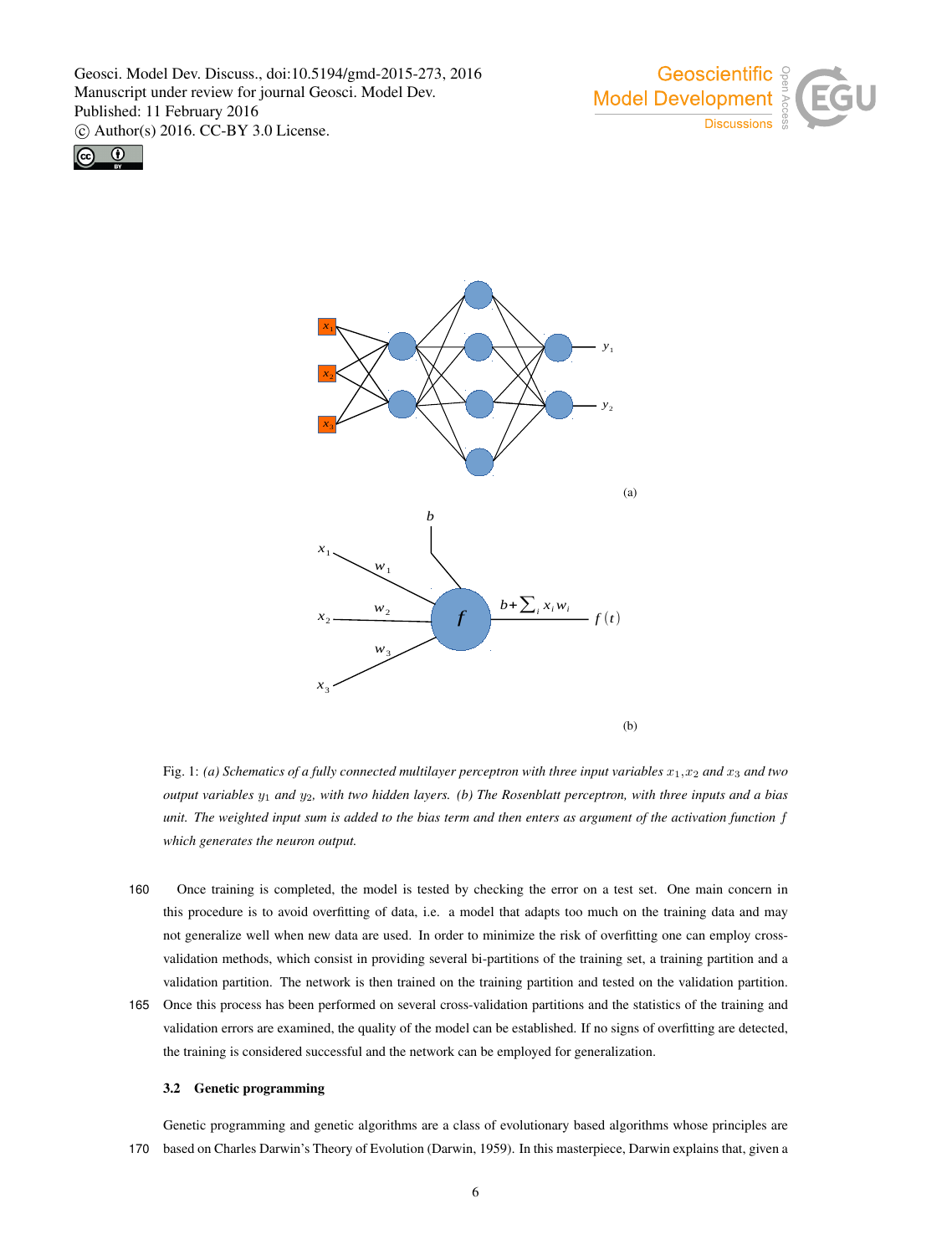





Fig. 1: *(a) Schematics of a fully connected multilayer perceptron with three input variables*  $x_1, x_2$  *and*  $x_3$  *and two output variables* y<sup>1</sup> *and* y2*, with two hidden layers. (b) The Rosenblatt perceptron, with three inputs and a bias unit. The weighted input sum is added to the bias term and then enters as argument of the activation function* f *which generates the neuron output.*

- 160 Once training is completed, the model is tested by checking the error on a test set. One main concern in this procedure is to avoid overfitting of data, i.e. a model that adapts too much on the training data and may not generalize well when new data are used. In order to minimize the risk of overfitting one can employ crossvalidation methods, which consist in providing several bi-partitions of the training set, a training partition and a validation partition. The network is then trained on the training partition and tested on the validation partition.
- 165 Once this process has been performed on several cross-validation partitions and the statistics of the training and validation errors are examined, the quality of the model can be established. If no signs of overfitting are detected, the training is considered successful and the network can be employed for generalization.

## 3.2 Genetic programming

Genetic programming and genetic algorithms are a class of evolutionary based algorithms whose principles are 170 based on Charles Darwin's Theory of Evolution (Darwin, 1959). In this masterpiece, Darwin explains that, given a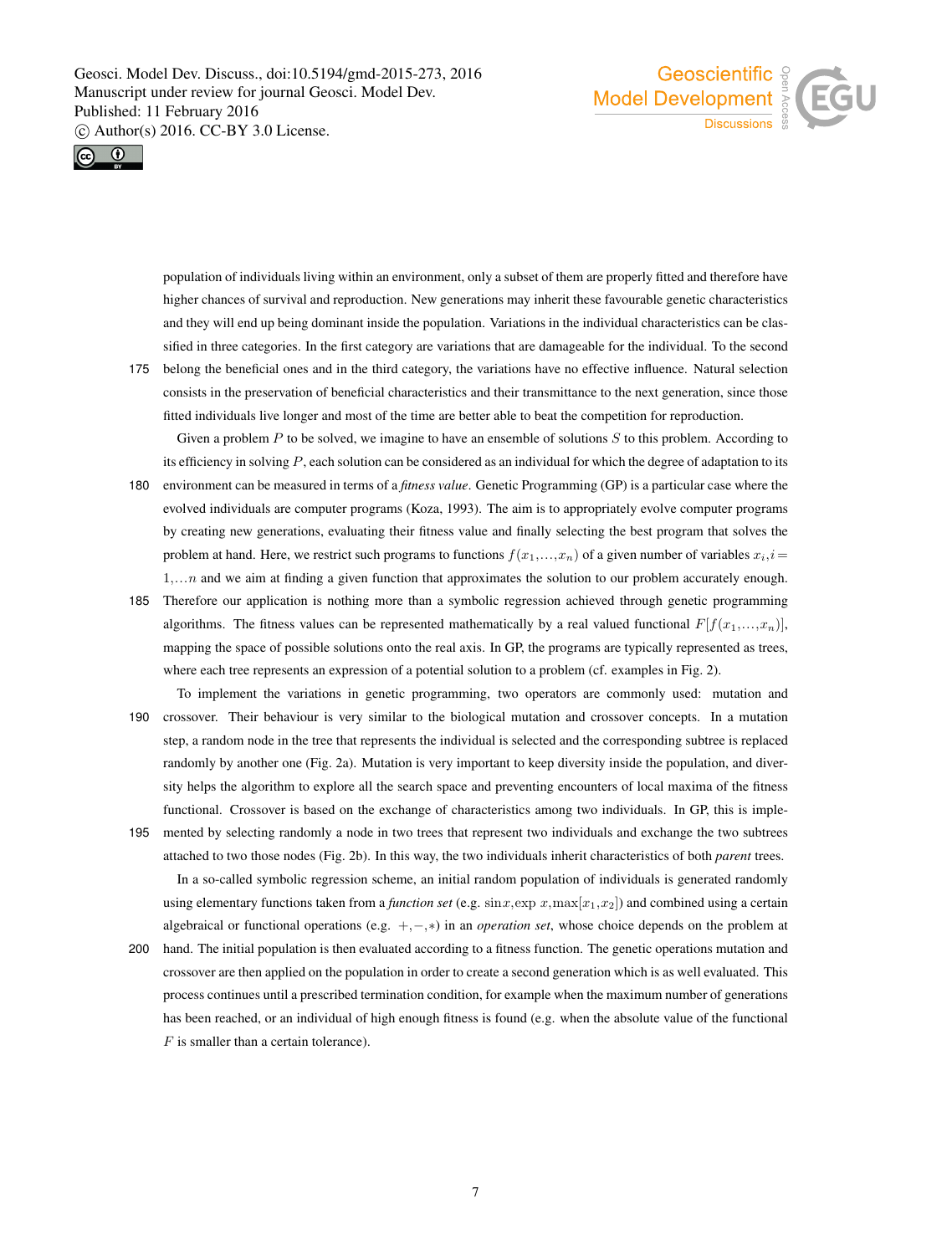



population of individuals living within an environment, only a subset of them are properly fitted and therefore have higher chances of survival and reproduction. New generations may inherit these favourable genetic characteristics and they will end up being dominant inside the population. Variations in the individual characteristics can be classified in three categories. In the first category are variations that are damageable for the individual. To the second

175 belong the beneficial ones and in the third category, the variations have no effective influence. Natural selection consists in the preservation of beneficial characteristics and their transmittance to the next generation, since those fitted individuals live longer and most of the time are better able to beat the competition for reproduction. Given a problem  $P$  to be solved, we imagine to have an ensemble of solutions  $S$  to this problem. According to

its efficiency in solving  $P$ , each solution can be considered as an individual for which the degree of adaptation to its

- 180 environment can be measured in terms of a *fitness value*. Genetic Programming (GP) is a particular case where the evolved individuals are computer programs (Koza, 1993). The aim is to appropriately evolve computer programs by creating new generations, evaluating their fitness value and finally selecting the best program that solves the problem at hand. Here, we restrict such programs to functions  $f(x_1,...,x_n)$  of a given number of variables  $x_i, i =$  $1, \ldots, n$  and we aim at finding a given function that approximates the solution to our problem accurately enough.
- 185 Therefore our application is nothing more than a symbolic regression achieved through genetic programming algorithms. The fitness values can be represented mathematically by a real valued functional  $F[f(x_1,...,x_n)]$ , mapping the space of possible solutions onto the real axis. In GP, the programs are typically represented as trees, where each tree represents an expression of a potential solution to a problem (cf. examples in Fig. 2).
- To implement the variations in genetic programming, two operators are commonly used: mutation and 190 crossover. Their behaviour is very similar to the biological mutation and crossover concepts. In a mutation step, a random node in the tree that represents the individual is selected and the corresponding subtree is replaced randomly by another one (Fig. 2a). Mutation is very important to keep diversity inside the population, and diversity helps the algorithm to explore all the search space and preventing encounters of local maxima of the fitness functional. Crossover is based on the exchange of characteristics among two individuals. In GP, this is imple-
- 195 mented by selecting randomly a node in two trees that represent two individuals and exchange the two subtrees attached to two those nodes (Fig. 2b). In this way, the two individuals inherit characteristics of both *parent* trees. In a so-called symbolic regression scheme, an initial random population of individuals is generated randomly using elementary functions taken from a *function set* (e.g.  $\sin x, \exp x, \max[x_1, x_2]$ ) and combined using a certain algebraical or functional operations (e.g. +,−,∗) in an *operation set*, whose choice depends on the problem at
- 200 hand. The initial population is then evaluated according to a fitness function. The genetic operations mutation and crossover are then applied on the population in order to create a second generation which is as well evaluated. This process continues until a prescribed termination condition, for example when the maximum number of generations has been reached, or an individual of high enough fitness is found (e.g. when the absolute value of the functional F is smaller than a certain tolerance).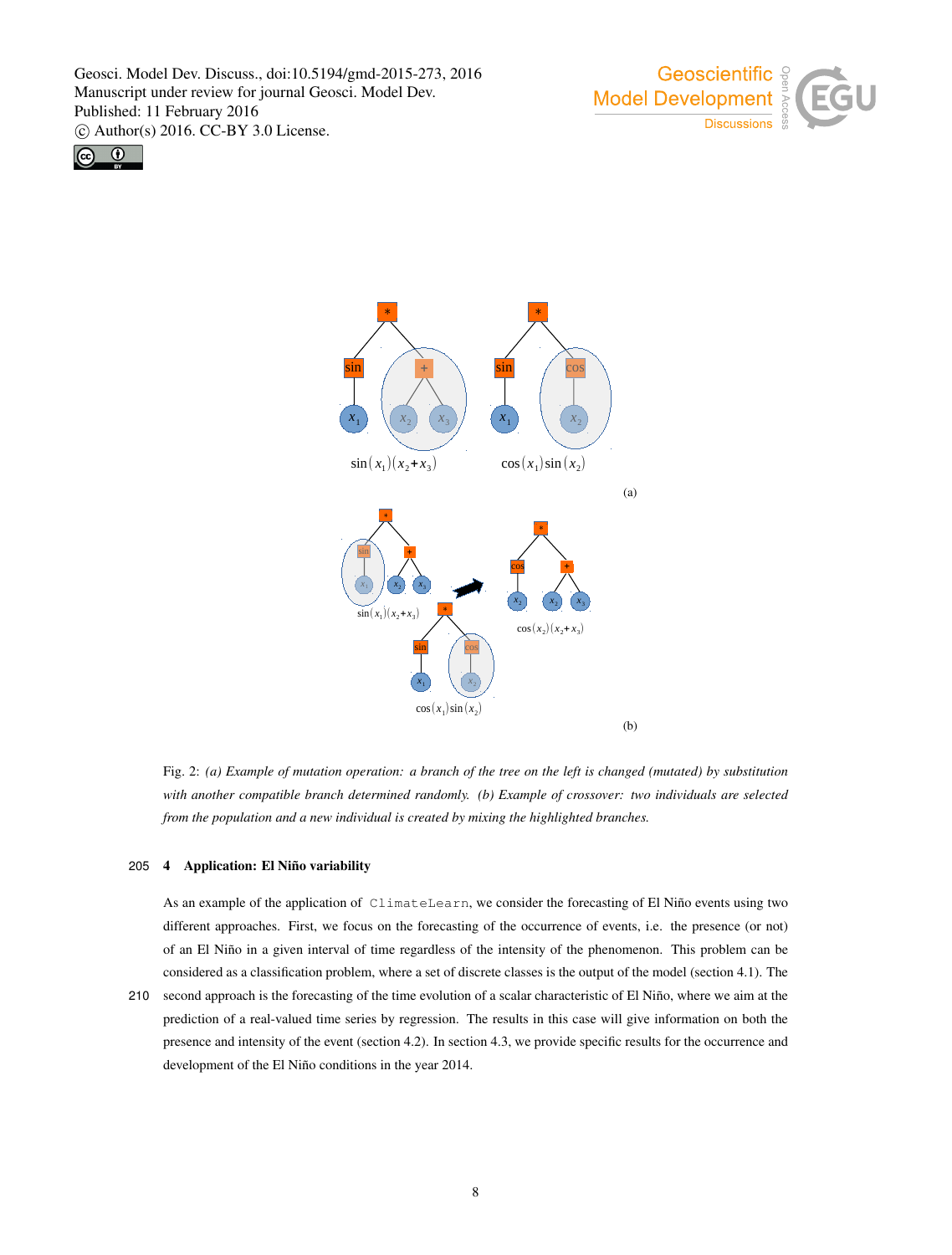





Fig. 2: *(a) Example of mutation operation: a branch of the tree on the left is changed (mutated) by substitution with another compatible branch determined randomly. (b) Example of crossover: two individuals are selected from the population and a new individual is created by mixing the highlighted branches.*

## 205 4 Application: El Niño variability

As an example of the application of ClimateLearn, we consider the forecasting of El Niño events using two different approaches. First, we focus on the forecasting of the occurrence of events, i.e. the presence (or not) of an El Niño in a given interval of time regardless of the intensity of the phenomenon. This problem can be considered as a classification problem, where a set of discrete classes is the output of the model (section 4.1). The

210 second approach is the forecasting of the time evolution of a scalar characteristic of El Niño, where we aim at the prediction of a real-valued time series by regression. The results in this case will give information on both the presence and intensity of the event (section 4.2). In section 4.3, we provide specific results for the occurrence and development of the El Niño conditions in the year 2014.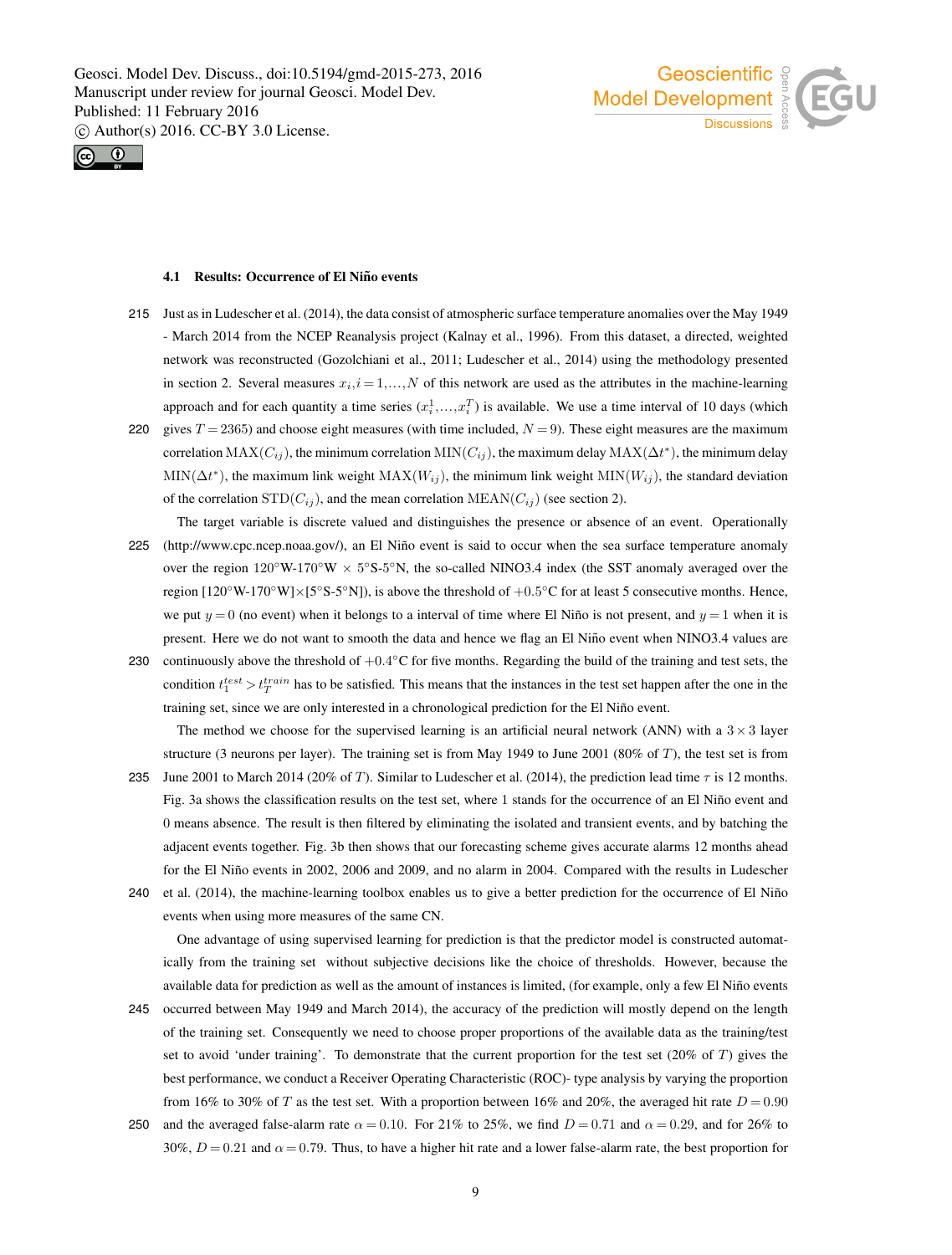



#### 4.1 Results: Occurrence of El Niño events

- 215 Just as in Ludescher et al. (2014), the data consist of atmospheric surface temperature anomalies over the May 1949 - March 2014 from the NCEP Reanalysis project (Kalnay et al., 1996). From this dataset, a directed, weighted network was reconstructed (Gozolchiani et al., 2011; Ludescher et al., 2014) using the methodology presented in section 2. Several measures  $x_i$ ,  $i = 1,...,N$  of this network are used as the attributes in the machine-learning approach and for each quantity a time series  $(x_i^1, \ldots, x_i^T)$  is available. We use a time interval of 10 days (which
- 220 gives  $T = 2365$ ) and choose eight measures (with time included,  $N = 9$ ). These eight measures are the maximum correlation  $MAX(C_{ij})$ , the minimum correlation  $MIN(C_{ij})$ , the maximum delay  $MAX(\Delta t^*)$ , the minimum delay  $\text{MIN}(\Delta t^*)$ , the maximum link weight  $\text{MAX}(W_{ij})$ , the minimum link weight  $\text{MIN}(W_{ij})$ , the standard deviation of the correlation  $STD(C_{ij})$ , and the mean correlation  $MEAN(C_{ij})$  (see section 2).
- The target variable is discrete valued and distinguishes the presence or absence of an event. Operationally 225 (http://www.cpc.ncep.noaa.gov/), an El Niño event is said to occur when the sea surface temperature anomaly over the region  $120°W-170°W \times 5°S-5°N$ , the so-called NINO3.4 index (the SST anomaly averaged over the region  $[120°W-170°W] \times [5°S-5°N]$ , is above the threshold of  $+0.5°C$  for at least 5 consecutive months. Hence, we put  $y = 0$  (no event) when it belongs to a interval of time where El Niño is not present, and  $y = 1$  when it is present. Here we do not want to smooth the data and hence we flag an El Niño event when NINO3.4 values are
- 230 continuously above the threshold of  $+0.4^{\circ}$ C for five months. Regarding the build of the training and test sets, the condition  $t_1^{test} > t_T^{train}$  has to be satisfied. This means that the instances in the test set happen after the one in the training set, since we are only interested in a chronological prediction for the El Nino event. ˜

The method we choose for the supervised learning is an artificial neural network (ANN) with a  $3 \times 3$  layer structure (3 neurons per layer). The training set is from May 1949 to June 2001 (80% of  $T$ ), the test set is from

- 235 June 2001 to March 2014 (20% of T). Similar to Ludescher et al. (2014), the prediction lead time  $\tau$  is 12 months. Fig. 3a shows the classification results on the test set, where 1 stands for the occurrence of an El Niño event and 0 means absence. The result is then filtered by eliminating the isolated and transient events, and by batching the adjacent events together. Fig. 3b then shows that our forecasting scheme gives accurate alarms 12 months ahead for the El Niño events in 2002, 2006 and 2009, and no alarm in 2004. Compared with the results in Ludescher
- 240 et al. (2014), the machine-learning toolbox enables us to give a better prediction for the occurrence of El Niño events when using more measures of the same CN.

One advantage of using supervised learning for prediction is that the predictor model is constructed automatically from the training set without subjective decisions like the choice of thresholds. However, because the available data for prediction as well as the amount of instances is limited, (for example, only a few El Niño events

- 245 occurred between May 1949 and March 2014), the accuracy of the prediction will mostly depend on the length of the training set. Consequently we need to choose proper proportions of the available data as the training/test set to avoid 'under training'. To demonstrate that the current proportion for the test set (20% of T) gives the best performance, we conduct a Receiver Operating Characteristic (ROC)- type analysis by varying the proportion from 16% to 30% of T as the test set. With a proportion between 16% and 20%, the averaged hit rate  $D = 0.90$
- 250 and the averaged false-alarm rate  $\alpha = 0.10$ . For 21% to 25%, we find  $D = 0.71$  and  $\alpha = 0.29$ , and for 26% to 30%,  $D = 0.21$  and  $\alpha = 0.79$ . Thus, to have a higher hit rate and a lower false-alarm rate, the best proportion for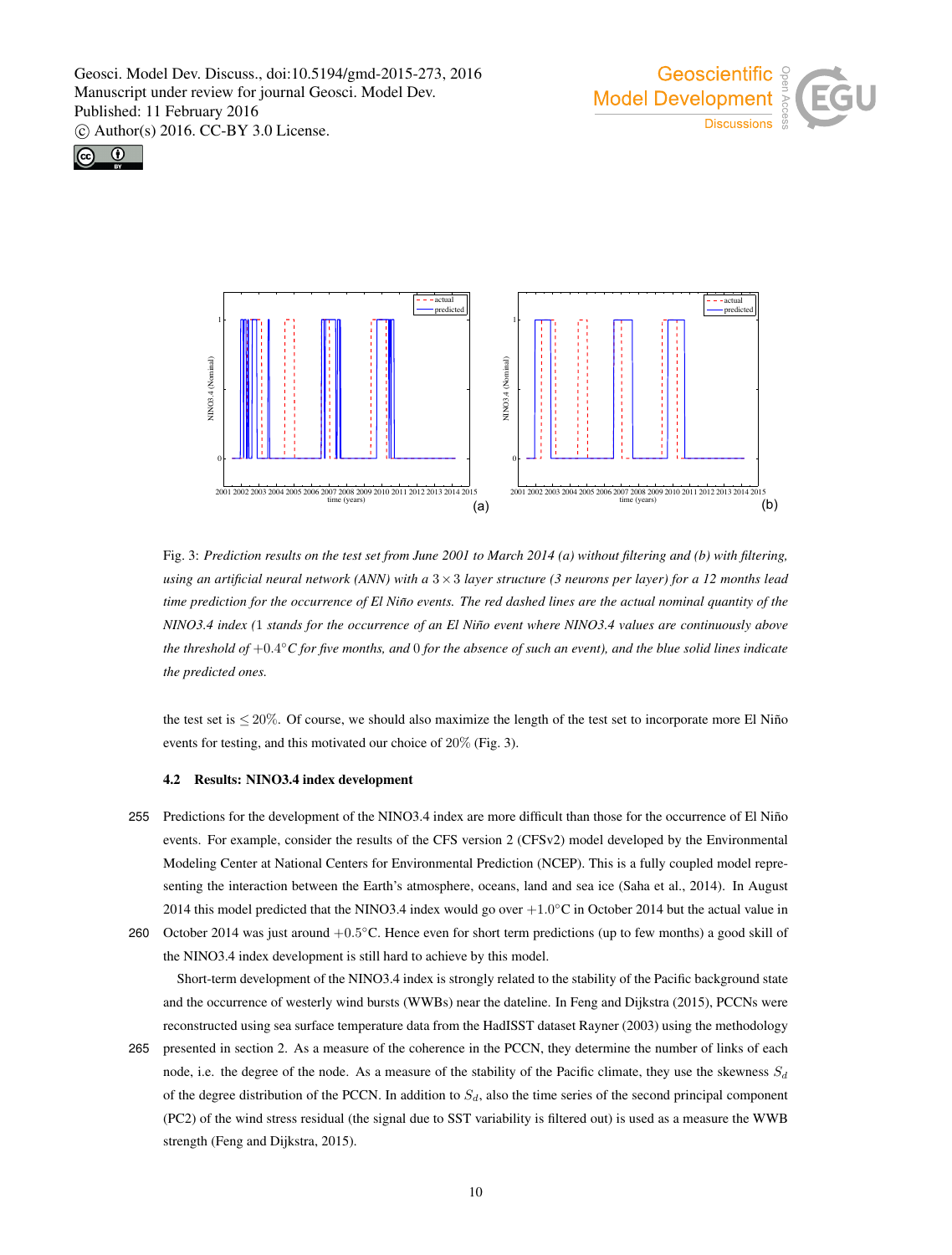





Fig. 3: *Prediction results on the test set from June 2001 to March 2014 (a) without filtering and (b) with filtering, using an artificial neural network (ANN) with a* 3×3 *layer structure (3 neurons per layer) for a 12 months lead time prediction for the occurrence of El Niño events. The red dashed lines are the actual nominal quantity of the NINO3.4 index (1 stands for the occurrence of an El Niño event where NINO3.4 values are continuously above the threshold of* +0.4 ◦*C for five months, and* 0 *for the absence of such an event), and the blue solid lines indicate the predicted ones.*

the test set is  $\leq 20\%$ . Of course, we should also maximize the length of the test set to incorporate more El Niño events for testing, and this motivated our choice of 20% (Fig. 3).

#### 4.2 Results: NINO3.4 index development

255 Predictions for the development of the NINO3.4 index are more difficult than those for the occurrence of El Niño events. For example, consider the results of the CFS version 2 (CFSv2) model developed by the Environmental Modeling Center at National Centers for Environmental Prediction (NCEP). This is a fully coupled model representing the interaction between the Earth's atmosphere, oceans, land and sea ice (Saha et al., 2014). In August 2014 this model predicted that the NINO3.4 index would go over  $+1.0^{\circ}$ C in October 2014 but the actual value in 260 October 2014 was just around  $+0.5^{\circ}$ C. Hence even for short term predictions (up to few months) a good skill of

the NINO3.4 index development is still hard to achieve by this model.

Short-term development of the NINO3.4 index is strongly related to the stability of the Pacific background state and the occurrence of westerly wind bursts (WWBs) near the dateline. In Feng and Dijkstra (2015), PCCNs were reconstructed using sea surface temperature data from the HadISST dataset Rayner (2003) using the methodology

265 presented in section 2. As a measure of the coherence in the PCCN, they determine the number of links of each node, i.e. the degree of the node. As a measure of the stability of the Pacific climate, they use the skewness  $S_d$ of the degree distribution of the PCCN. In addition to  $S_d$ , also the time series of the second principal component (PC2) of the wind stress residual (the signal due to SST variability is filtered out) is used as a measure the WWB strength (Feng and Dijkstra, 2015).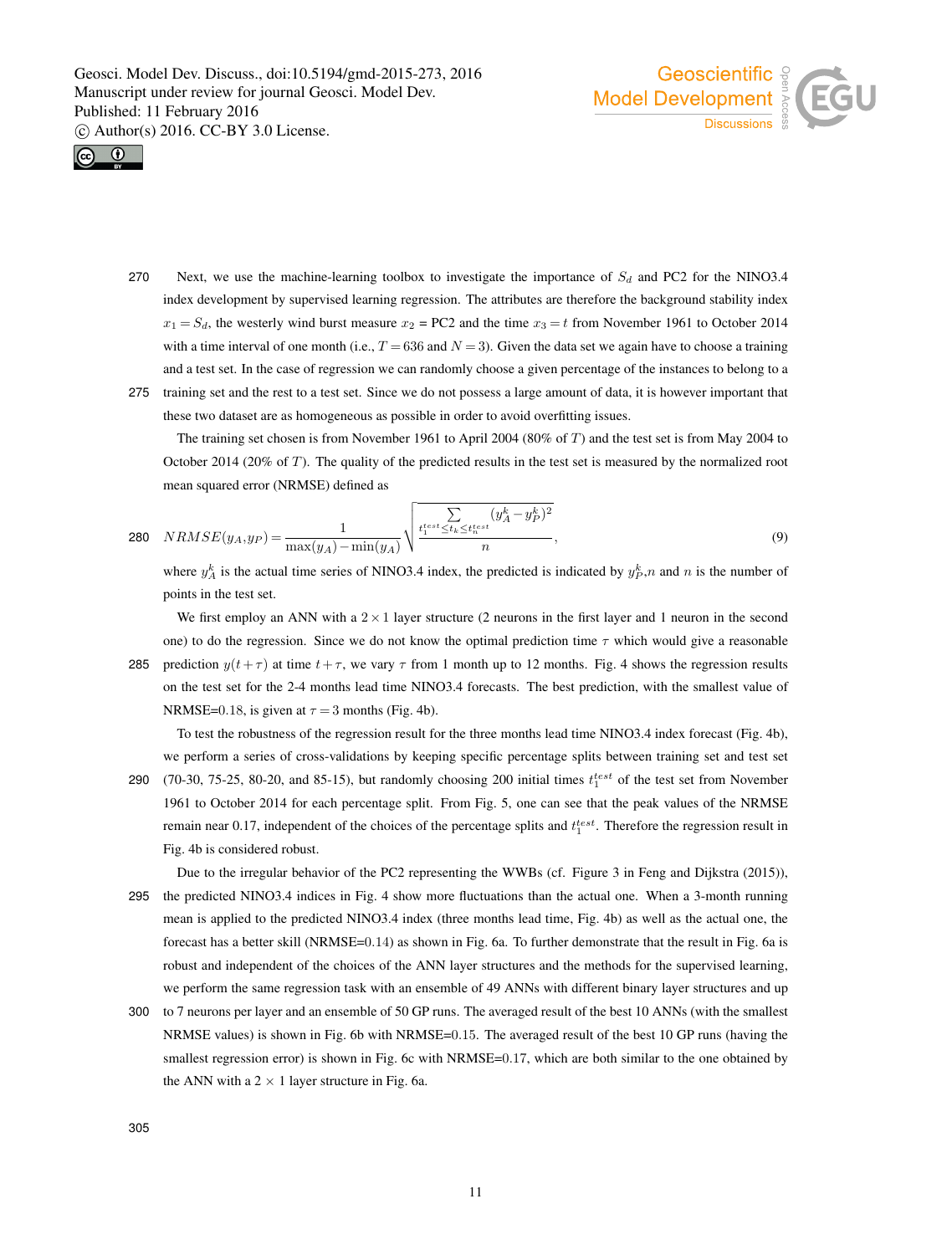



- 270 Next, we use the machine-learning toolbox to investigate the importance of  $S_d$  and PC2 for the NINO3.4 index development by supervised learning regression. The attributes are therefore the background stability index  $x_1 = S_d$ , the westerly wind burst measure  $x_2 = PC2$  and the time  $x_3 = t$  from November 1961 to October 2014 with a time interval of one month (i.e.,  $T = 636$  and  $N = 3$ ). Given the data set we again have to choose a training and a test set. In the case of regression we can randomly choose a given percentage of the instances to belong to a
- 275 training set and the rest to a test set. Since we do not possess a large amount of data, it is however important that these two dataset are as homogeneous as possible in order to avoid overfitting issues.

The training set chosen is from November 1961 to April 2004 (80% of T) and the test set is from May 2004 to October 2014 (20% of T). The quality of the predicted results in the test set is measured by the normalized root mean squared error (NRMSE) defined as

280 
$$
NRMSE(y_A, y_P) = \frac{1}{\max(y_A) - \min(y_A)} \sqrt{\frac{\sum\limits_{t_i^{test} \le t_k \le t_{k}^{test}} (y_A^k - y_P^k)^2}{n}},
$$
 (9)

where  $y_A^k$  is the actual time series of NINO3.4 index, the predicted is indicated by  $y_P^k$ , n and n is the number of points in the test set.

We first employ an ANN with a  $2 \times 1$  layer structure (2 neurons in the first layer and 1 neuron in the second one) to do the regression. Since we do not know the optimal prediction time  $\tau$  which would give a reasonable 285 prediction  $y(t+\tau)$  at time  $t+\tau$ , we vary  $\tau$  from 1 month up to 12 months. Fig. 4 shows the regression results on the test set for the 2-4 months lead time NINO3.4 forecasts. The best prediction, with the smallest value of NRMSE=0.18, is given at  $\tau = 3$  months (Fig. 4b).

To test the robustness of the regression result for the three months lead time NINO3.4 index forecast (Fig. 4b), we perform a series of cross-validations by keeping specific percentage splits between training set and test set

290 (70-30, 75-25, 80-20, and 85-15), but randomly choosing 200 initial times  $t_1^{test}$  of the test set from November 1961 to October 2014 for each percentage split. From Fig. 5, one can see that the peak values of the NRMSE remain near 0.17, independent of the choices of the percentage splits and  $t_1^{test}$ . Therefore the regression result in Fig. 4b is considered robust.

Due to the irregular behavior of the PC2 representing the WWBs (cf. Figure 3 in Feng and Dijkstra (2015)), 295 the predicted NINO3.4 indices in Fig. 4 show more fluctuations than the actual one. When a 3-month running mean is applied to the predicted NINO3.4 index (three months lead time, Fig. 4b) as well as the actual one, the forecast has a better skill (NRMSE=0.14) as shown in Fig. 6a. To further demonstrate that the result in Fig. 6a is robust and independent of the choices of the ANN layer structures and the methods for the supervised learning, we perform the same regression task with an ensemble of 49 ANNs with different binary layer structures and up

300 to 7 neurons per layer and an ensemble of 50 GP runs. The averaged result of the best 10 ANNs (with the smallest NRMSE values) is shown in Fig. 6b with NRMSE=0.15. The averaged result of the best 10 GP runs (having the smallest regression error) is shown in Fig. 6c with NRMSE=0.17, which are both similar to the one obtained by the ANN with a  $2 \times 1$  layer structure in Fig. 6a.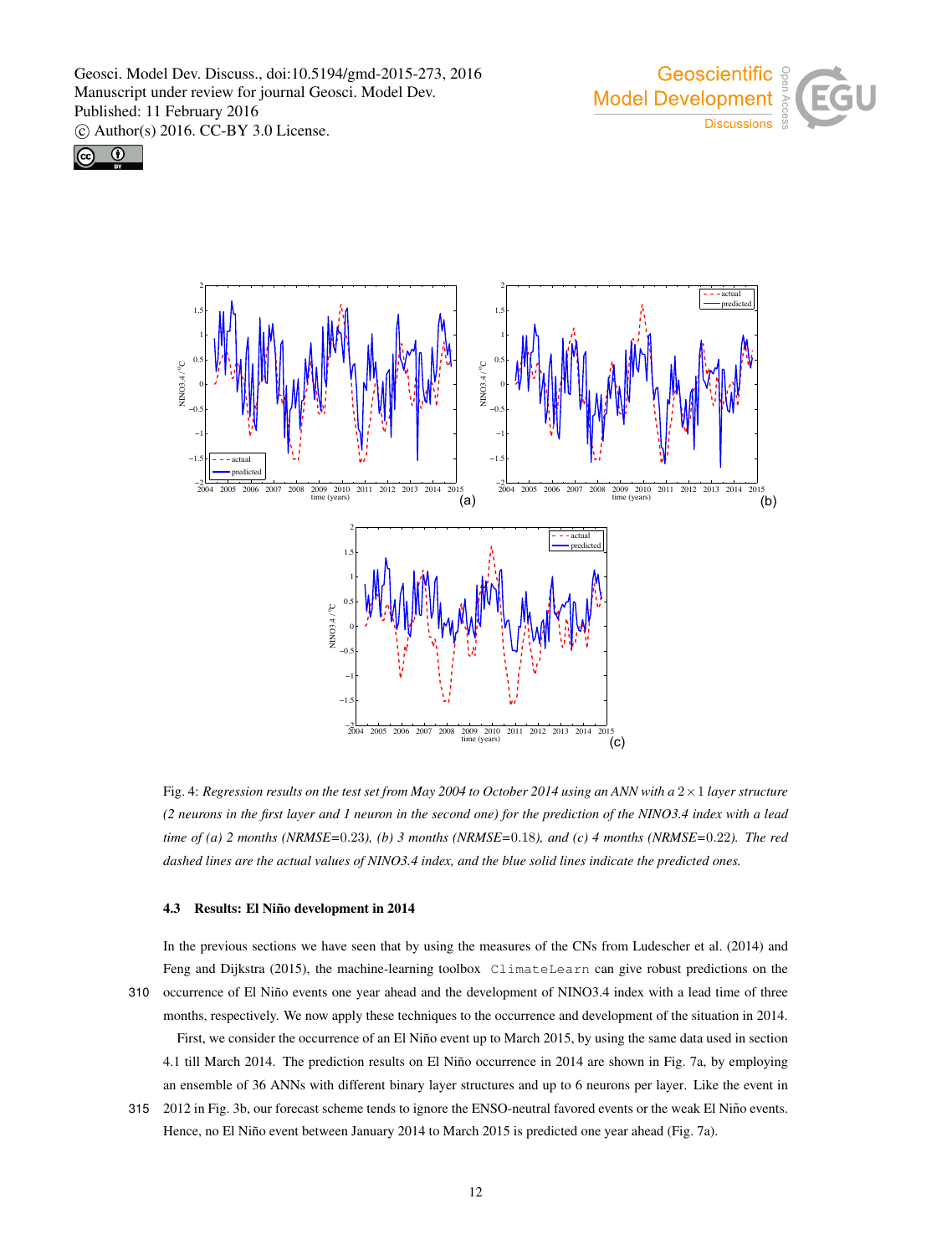





Fig. 4: *Regression results on the test set from May 2004 to October 2014 using an ANN with a* 2×1 *layer structure (2 neurons in the first layer and 1 neuron in the second one) for the prediction of the NINO3.4 index with a lead time of (a) 2 months (NRMSE=*0.23*), (b) 3 months (NRMSE=*0.18*), and (c) 4 months (NRMSE=*0.22*). The red dashed lines are the actual values of NINO3.4 index, and the blue solid lines indicate the predicted ones.*

## 4.3 Results: El Niño development in 2014

In the previous sections we have seen that by using the measures of the CNs from Ludescher et al. (2014) and Feng and Dijkstra (2015), the machine-learning toolbox ClimateLearn can give robust predictions on the 310 occurrence of El Niño events one year ahead and the development of NINO3.4 index with a lead time of three months, respectively. We now apply these techniques to the occurrence and development of the situation in 2014. First, we consider the occurrence of an El Niño event up to March 2015, by using the same data used in section 4.1 till March 2014. The prediction results on El Niño occurrence in 2014 are shown in Fig. 7a, by employing an ensemble of 36 ANNs with different binary layer structures and up to 6 neurons per layer. Like the event in

315 2012 in Fig. 3b, our forecast scheme tends to ignore the ENSO-neutral favored events or the weak El Niño events. Hence, no El Niño event between January 2014 to March 2015 is predicted one year ahead (Fig. 7a).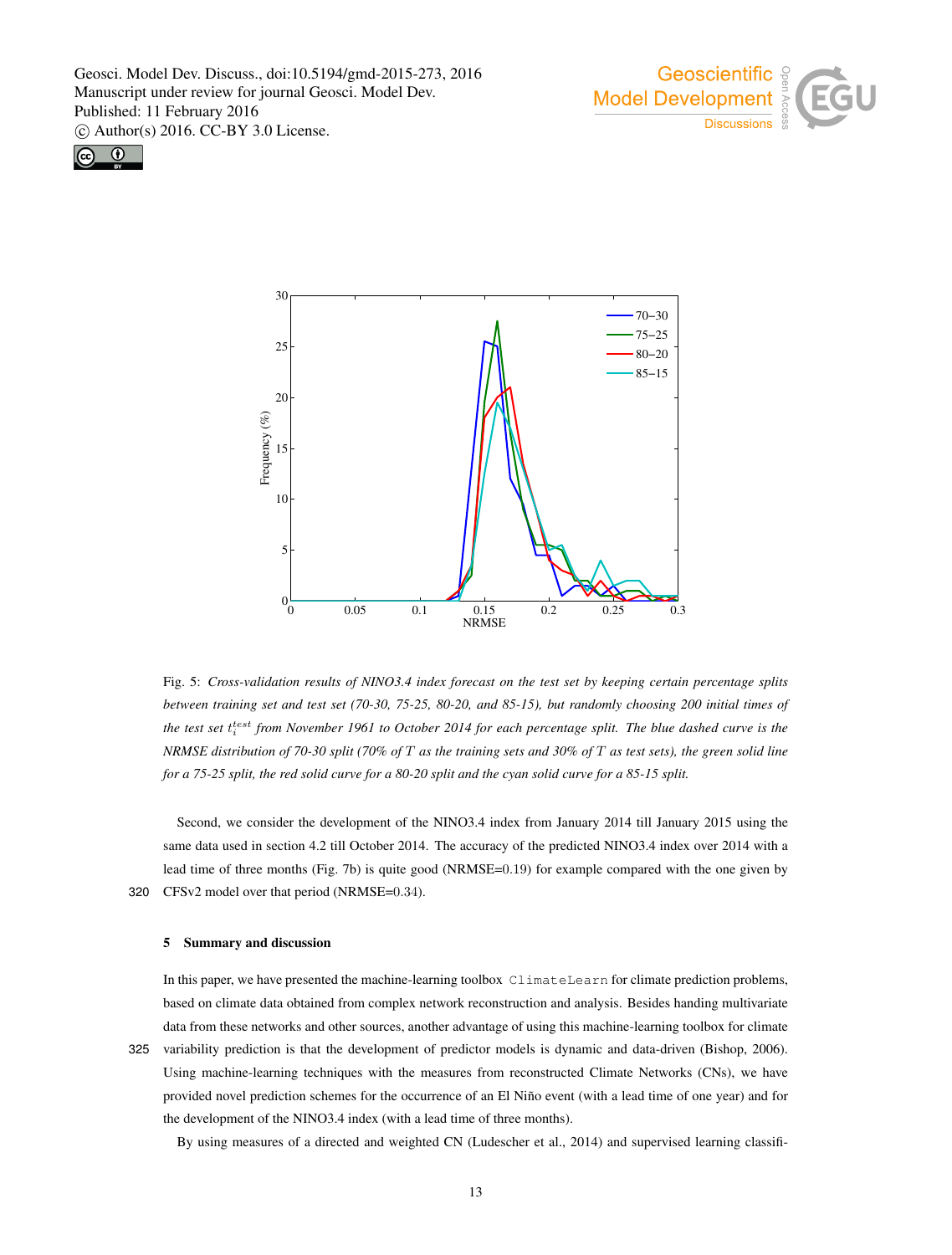





Fig. 5: *Cross-validation results of NINO3.4 index forecast on the test set by keeping certain percentage splits between training set and test set (70-30, 75-25, 80-20, and 85-15), but randomly choosing 200 initial times of* the test set t<sup>test</sup> from November 1961 to October 2014 for each percentage split. The blue dashed curve is the *NRMSE distribution of 70-30 split (70% of* T *as the training sets and 30% of* T *as test sets), the green solid line for a 75-25 split, the red solid curve for a 80-20 split and the cyan solid curve for a 85-15 split.*

Second, we consider the development of the NINO3.4 index from January 2014 till January 2015 using the same data used in section 4.2 till October 2014. The accuracy of the predicted NINO3.4 index over 2014 with a lead time of three months (Fig. 7b) is quite good (NRMSE=0.19) for example compared with the one given by 320 CFSv2 model over that period (NRMSE=0.34).

## 5 Summary and discussion

In this paper, we have presented the machine-learning toolbox ClimateLearn for climate prediction problems, based on climate data obtained from complex network reconstruction and analysis. Besides handing multivariate data from these networks and other sources, another advantage of using this machine-learning toolbox for climate 325 variability prediction is that the development of predictor models is dynamic and data-driven (Bishop, 2006). Using machine-learning techniques with the measures from reconstructed Climate Networks (CNs), we have provided novel prediction schemes for the occurrence of an El Niño event (with a lead time of one year) and for the development of the NINO3.4 index (with a lead time of three months).

By using measures of a directed and weighted CN (Ludescher et al., 2014) and supervised learning classifi-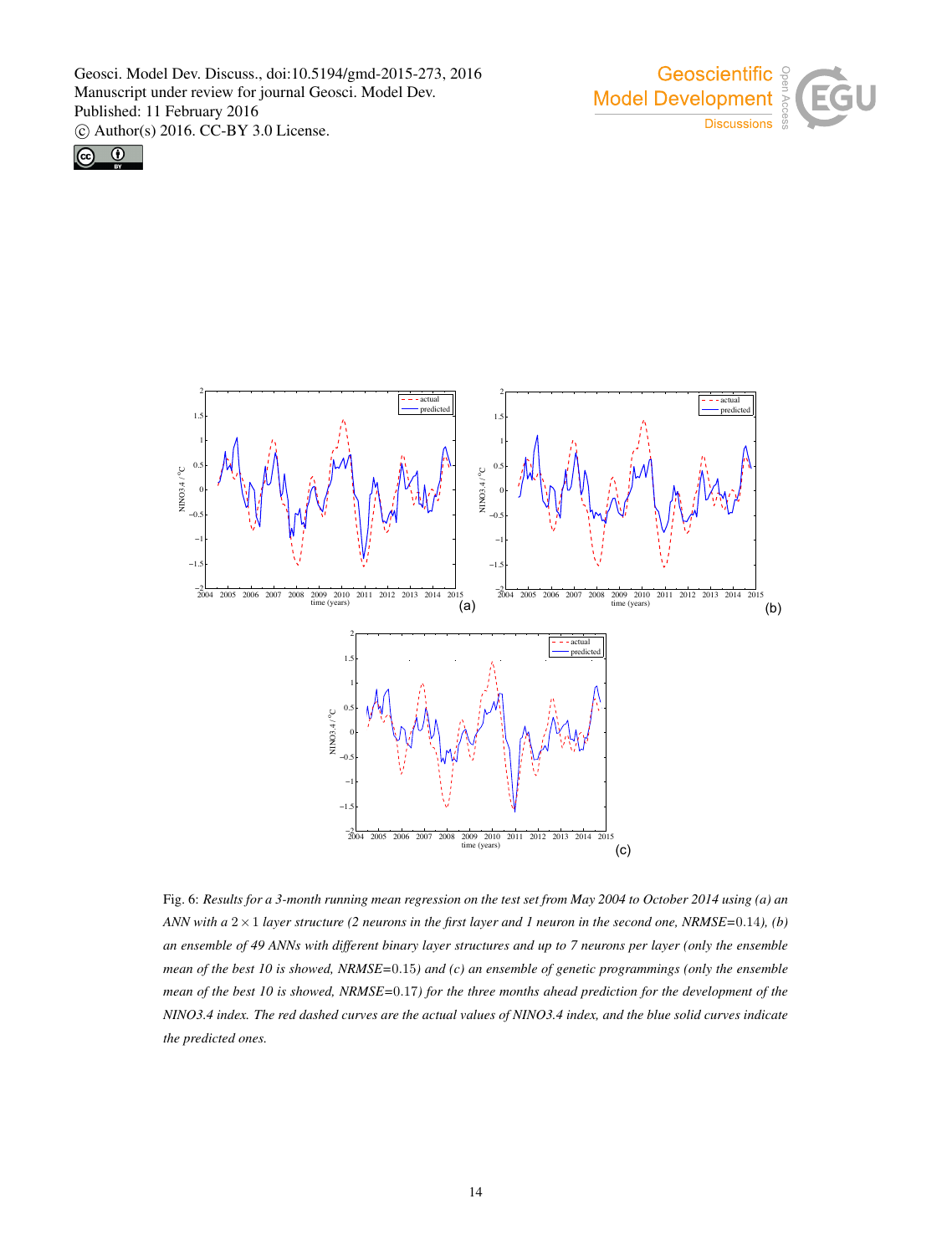





Fig. 6: *Results for a 3-month running mean regression on the test set from May 2004 to October 2014 using (a) an ANN with a* 2×1 *layer structure (2 neurons in the first layer and 1 neuron in the second one, NRMSE=*0.14*), (b) an ensemble of 49 ANNs with different binary layer structures and up to 7 neurons per layer (only the ensemble mean of the best 10 is showed, NRMSE=*0.15*) and (c) an ensemble of genetic programmings (only the ensemble mean of the best 10 is showed, NRMSE=*0.17*) for the three months ahead prediction for the development of the NINO3.4 index. The red dashed curves are the actual values of NINO3.4 index, and the blue solid curves indicate the predicted ones.*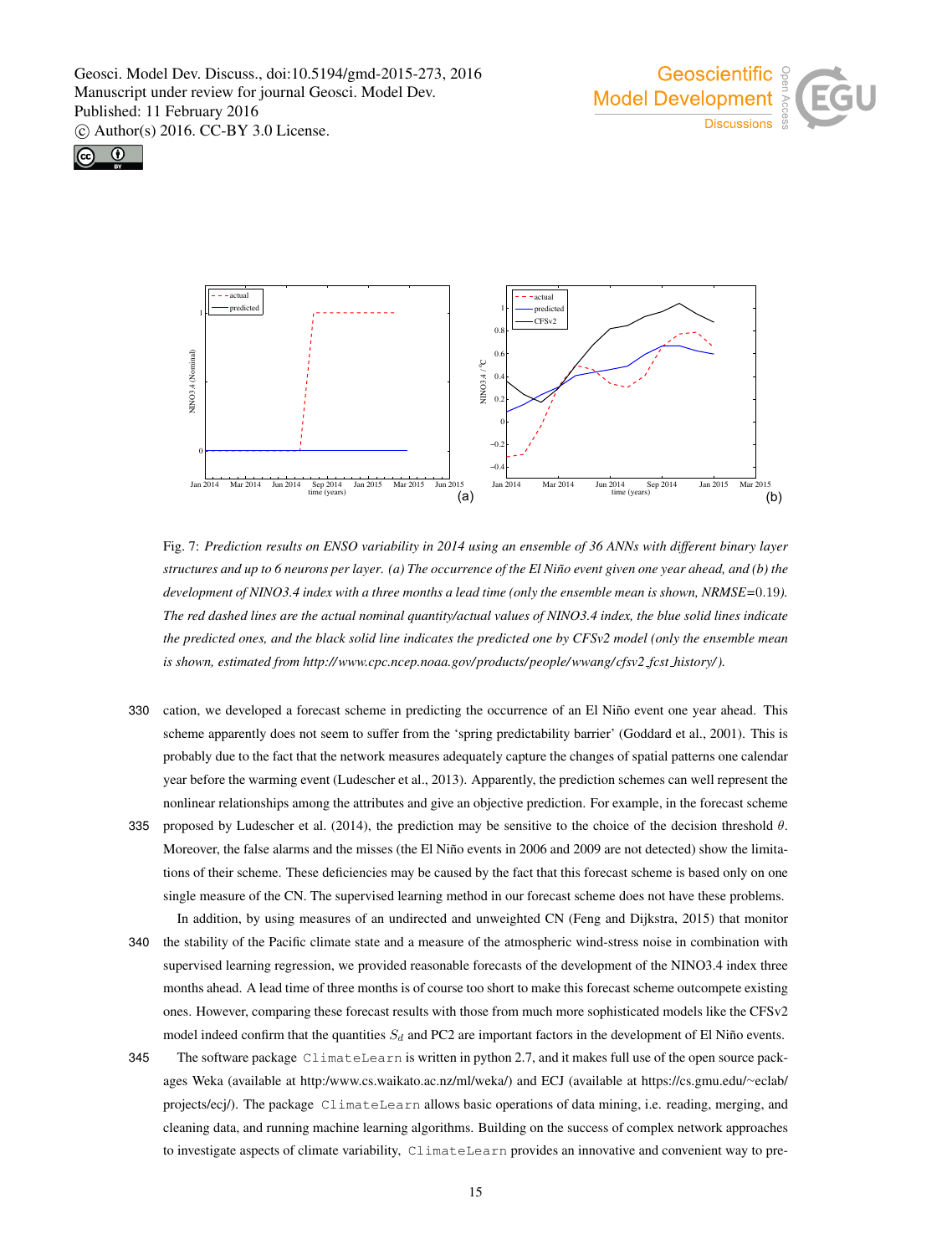





Fig. 7: *Prediction results on ENSO variability in 2014 using an ensemble of 36 ANNs with different binary layer structures and up to 6 neurons per layer.* (a) The occurrence of the El Niño event given one year ahead, and (b) the *development of NINO3.4 index with a three months a lead time (only the ensemble mean is shown, NRMSE=*0.19*). The red dashed lines are the actual nominal quantity/actual values of NINO3.4 index, the blue solid lines indicate the predicted ones, and the black solid line indicates the predicted one by CFSv2 model (only the ensemble mean is shown, estimated from http://www.cpc.ncep.noaa.gov/products/people/wwang/cfsv2 fcst history/).*

- 330 cation, we developed a forecast scheme in predicting the occurrence of an El Niño event one year ahead. This scheme apparently does not seem to suffer from the 'spring predictability barrier' (Goddard et al., 2001). This is probably due to the fact that the network measures adequately capture the changes of spatial patterns one calendar year before the warming event (Ludescher et al., 2013). Apparently, the prediction schemes can well represent the nonlinear relationships among the attributes and give an objective prediction. For example, in the forecast scheme
- 335 proposed by Ludescher et al. (2014), the prediction may be sensitive to the choice of the decision threshold  $\theta$ . Moreover, the false alarms and the misses (the El Niño events in 2006 and 2009 are not detected) show the limitations of their scheme. These deficiencies may be caused by the fact that this forecast scheme is based only on one single measure of the CN. The supervised learning method in our forecast scheme does not have these problems. In addition, by using measures of an undirected and unweighted CN (Feng and Dijkstra, 2015) that monitor
- 340 the stability of the Pacific climate state and a measure of the atmospheric wind-stress noise in combination with supervised learning regression, we provided reasonable forecasts of the development of the NINO3.4 index three months ahead. A lead time of three months is of course too short to make this forecast scheme outcompete existing ones. However, comparing these forecast results with those from much more sophisticated models like the CFSv2 model indeed confirm that the quantities  $S_d$  and PC2 are important factors in the development of El Niño events.
- 345 The software package ClimateLearn is written in python 2.7, and it makes full use of the open source packages Weka (available at http:/www.cs.waikato.ac.nz/ml/weka/) and ECJ (available at https://cs.gmu.edu/∼eclab/ projects/ecj/). The package ClimateLearn allows basic operations of data mining, i.e. reading, merging, and cleaning data, and running machine learning algorithms. Building on the success of complex network approaches to investigate aspects of climate variability, ClimateLearn provides an innovative and convenient way to pre-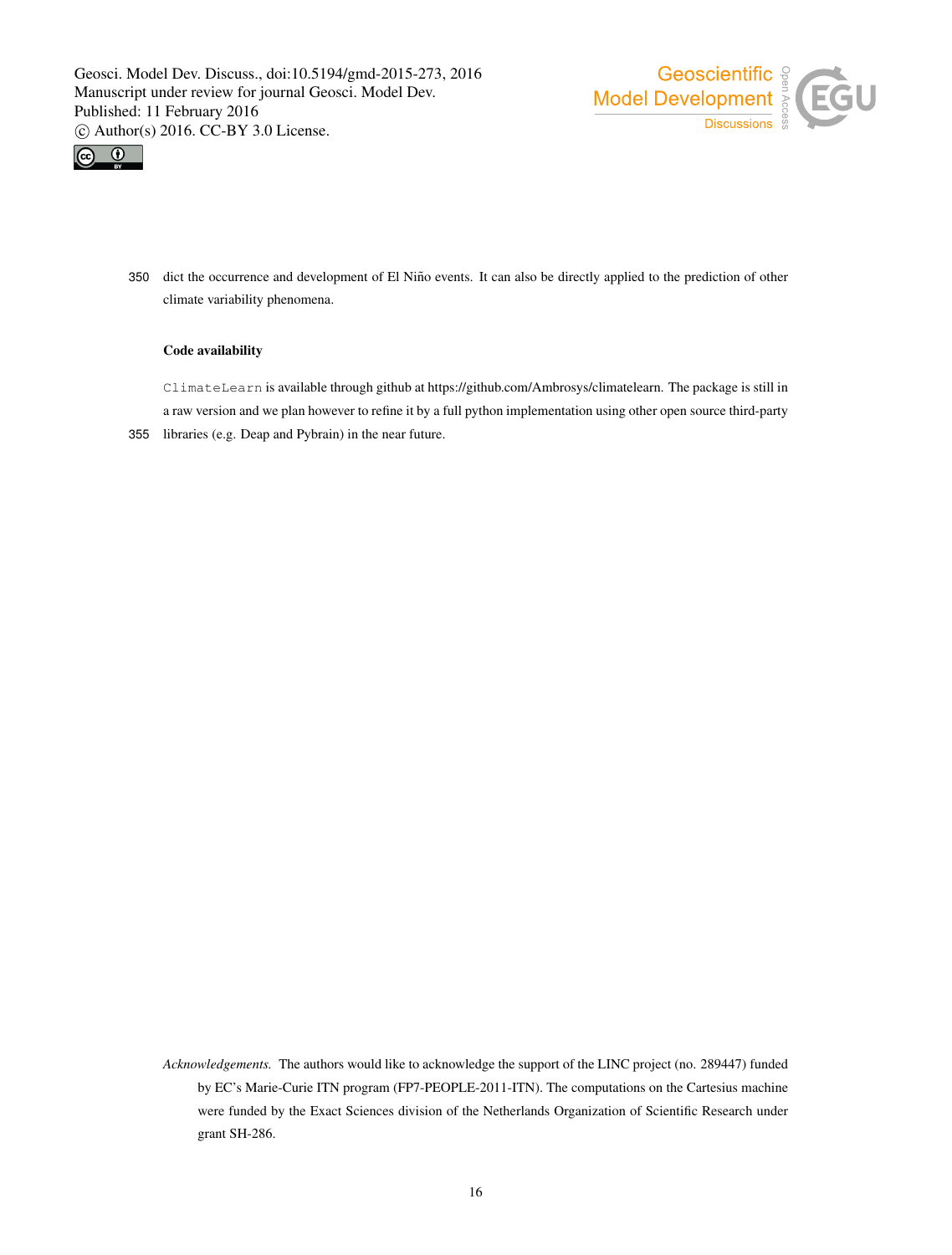



350 dict the occurrence and development of El Niño events. It can also be directly applied to the prediction of other climate variability phenomena.

## Code availability

ClimateLearn is available through github at https://github.com/Ambrosys/climatelearn. The package is still in a raw version and we plan however to refine it by a full python implementation using other open source third-party 355 libraries (e.g. Deap and Pybrain) in the near future.

*Acknowledgements.* The authors would like to acknowledge the support of the LINC project (no. 289447) funded by EC's Marie-Curie ITN program (FP7-PEOPLE-2011-ITN). The computations on the Cartesius machine were funded by the Exact Sciences division of the Netherlands Organization of Scientific Research under grant SH-286.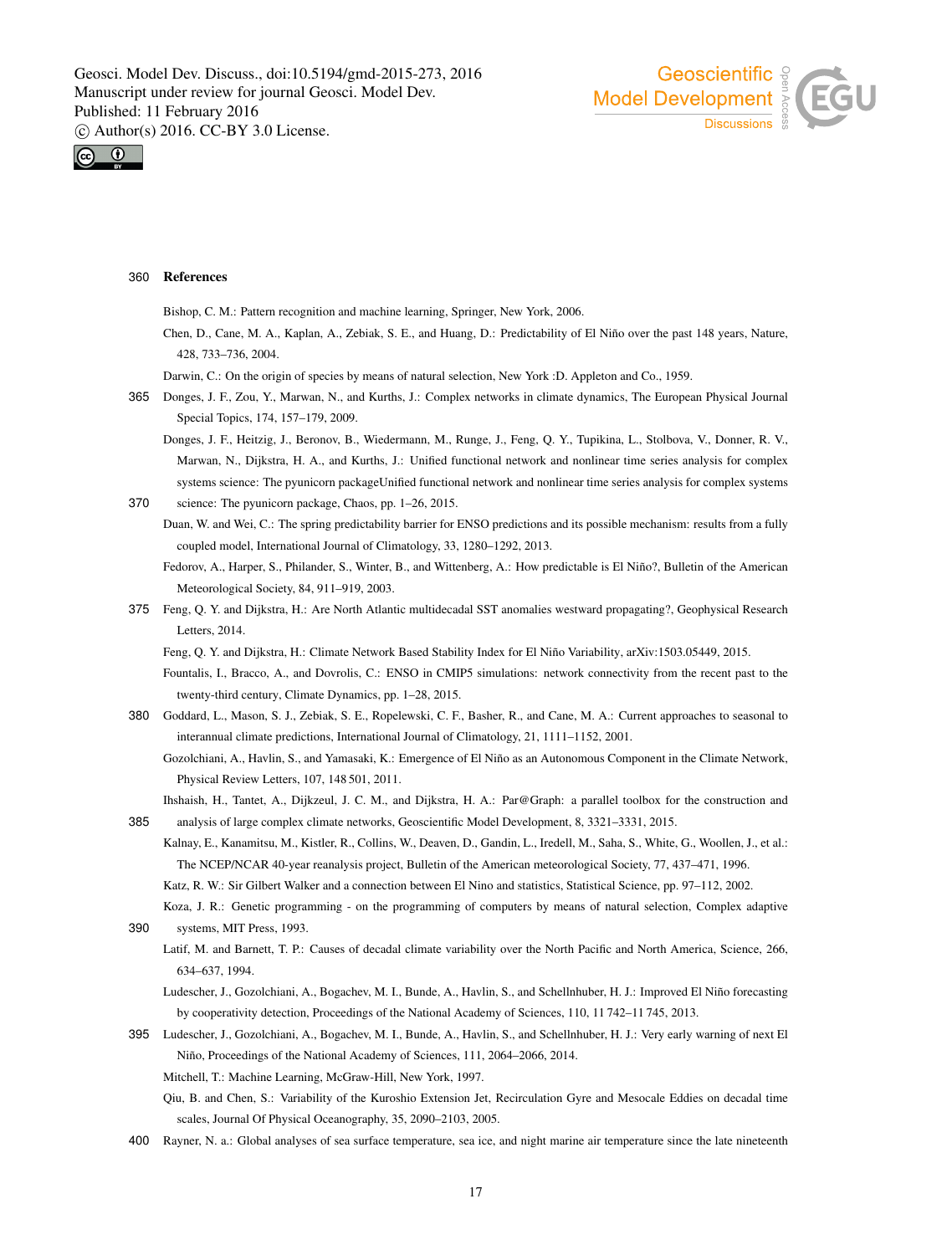



## 360 References

Bishop, C. M.: Pattern recognition and machine learning, Springer, New York, 2006.

- Chen, D., Cane, M. A., Kaplan, A., Zebiak, S. E., and Huang, D.: Predictability of El Niño over the past 148 years, Nature, 428, 733–736, 2004.
- Darwin, C.: On the origin of species by means of natural selection, New York :D. Appleton and Co., 1959.
- 365 Donges, J. F., Zou, Y., Marwan, N., and Kurths, J.: Complex networks in climate dynamics, The European Physical Journal Special Topics, 174, 157–179, 2009.

Donges, J. F., Heitzig, J., Beronov, B., Wiedermann, M., Runge, J., Feng, Q. Y., Tupikina, L., Stolbova, V., Donner, R. V., Marwan, N., Dijkstra, H. A., and Kurths, J.: Unified functional network and nonlinear time series analysis for complex systems science: The pyunicorn packageUnified functional network and nonlinear time series analysis for complex systems 370 science: The pyunicorn package, Chaos, pp. 1–26, 2015.

Duan, W. and Wei, C.: The spring predictability barrier for ENSO predictions and its possible mechanism: results from a fully coupled model, International Journal of Climatology, 33, 1280–1292, 2013.

Fedorov, A., Harper, S., Philander, S., Winter, B., and Wittenberg, A.: How predictable is El Niño?, Bulletin of the American Meteorological Society, 84, 911–919, 2003.

375 Feng, Q. Y. and Dijkstra, H.: Are North Atlantic multidecadal SST anomalies westward propagating?, Geophysical Research Letters, 2014.

Feng, O. Y. and Dijkstra, H.: Climate Network Based Stability Index for El Niño Variability, arXiv:1503.05449, 2015.

- Fountalis, I., Bracco, A., and Dovrolis, C.: ENSO in CMIP5 simulations: network connectivity from the recent past to the twenty-third century, Climate Dynamics, pp. 1–28, 2015.
- 380 Goddard, L., Mason, S. J., Zebiak, S. E., Ropelewski, C. F., Basher, R., and Cane, M. A.: Current approaches to seasonal to interannual climate predictions, International Journal of Climatology, 21, 1111–1152, 2001.
	- Gozolchiani, A., Havlin, S., and Yamasaki, K.: Emergence of El Niño as an Autonomous Component in the Climate Network, Physical Review Letters, 107, 148 501, 2011.
- Ihshaish, H., Tantet, A., Dijkzeul, J. C. M., and Dijkstra, H. A.: Par@Graph: a parallel toolbox for the construction and 385 analysis of large complex climate networks, Geoscientific Model Development, 8, 3321–3331, 2015.
	- Kalnay, E., Kanamitsu, M., Kistler, R., Collins, W., Deaven, D., Gandin, L., Iredell, M., Saha, S., White, G., Woollen, J., et al.: The NCEP/NCAR 40-year reanalysis project, Bulletin of the American meteorological Society, 77, 437–471, 1996.
		- Katz, R. W.: Sir Gilbert Walker and a connection between El Nino and statistics, Statistical Science, pp. 97–112, 2002.
- Koza, J. R.: Genetic programming on the programming of computers by means of natural selection, Complex adaptive 390 systems, MIT Press, 1993.
	- Latif, M. and Barnett, T. P.: Causes of decadal climate variability over the North Pacific and North America, Science, 266, 634–637, 1994.
	- Ludescher, J., Gozolchiani, A., Bogachev, M. I., Bunde, A., Havlin, S., and Schellnhuber, H. J.: Improved El Niño forecasting by cooperativity detection, Proceedings of the National Academy of Sciences, 110, 11 742–11 745, 2013.
- 395 Ludescher, J., Gozolchiani, A., Bogachev, M. I., Bunde, A., Havlin, S., and Schellnhuber, H. J.: Very early warning of next El Niño, Proceedings of the National Academy of Sciences, 111, 2064–2066, 2014.
	- Mitchell, T.: Machine Learning, McGraw-Hill, New York, 1997.
	- Qiu, B. and Chen, S.: Variability of the Kuroshio Extension Jet, Recirculation Gyre and Mesocale Eddies on decadal time scales, Journal Of Physical Oceanography, 35, 2090–2103, 2005.
- 400 Rayner, N. a.: Global analyses of sea surface temperature, sea ice, and night marine air temperature since the late nineteenth